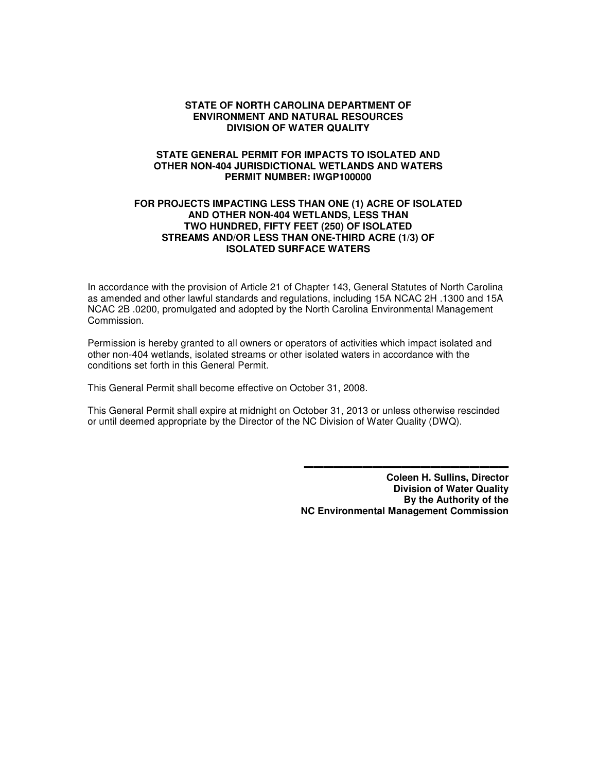#### **STATE OF NORTH CAROLINA DEPARTMENT OF ENVIRONMENT AND NATURAL RESOURCES DIVISION OF WATER QUALITY**

#### **STATE GENERAL PERMIT FOR IMPACTS TO ISOLATED AND OTHER NON-404 JURISDICTIONAL WETLANDS AND WATERS PERMIT NUMBER: IWGP100000**

#### **FOR PROJECTS IMPACTING LESS THAN ONE (1) ACRE OF ISOLATED AND OTHER NON-404 WETLANDS, LESS THAN TWO HUNDRED, FIFTY FEET (250) OF ISOLATED STREAMS AND/OR LESS THAN ONE-THIRD ACRE (1/3) OF ISOLATED SURFACE WATERS**

In accordance with the provision of Article 21 of Chapter 143, General Statutes of North Carolina as amended and other lawful standards and regulations, including 15A NCAC 2H .1300 and 15A NCAC 2B .0200, promulgated and adopted by the North Carolina Environmental Management Commission.

Permission is hereby granted to all owners or operators of activities which impact isolated and other non-404 wetlands, isolated streams or other isolated waters in accordance with the conditions set forth in this General Permit.

This General Permit shall become effective on October 31, 2008.

This General Permit shall expire at midnight on October 31, 2013 or unless otherwise rescinded or until deemed appropriate by the Director of the NC Division of Water Quality (DWQ).

> **Coleen H. Sullins, Director Division of Water Quality By the Authority of the NC Environmental Management Commission**

▬▬▬▬▬▬▬▬▬▬▬▬▬▬▬▬▬▬▬▬▬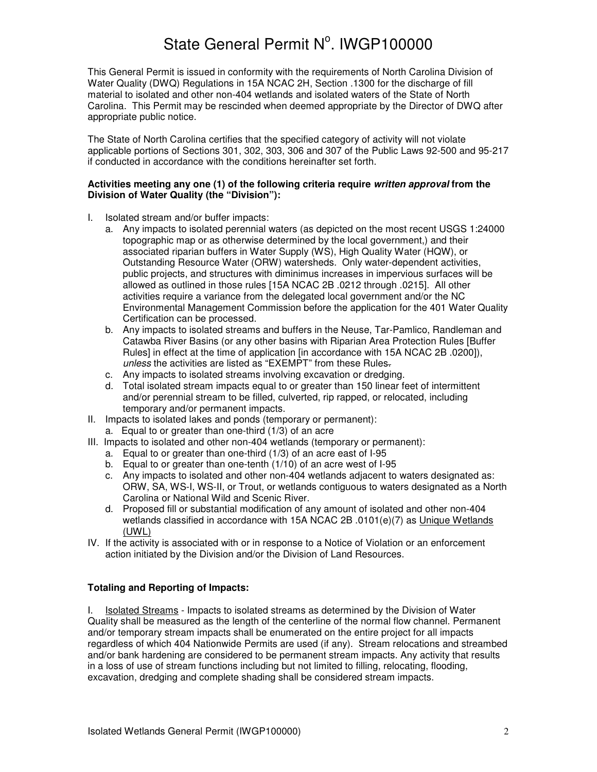This General Permit is issued in conformity with the requirements of North Carolina Division of Water Quality (DWQ) Regulations in 15A NCAC 2H, Section .1300 for the discharge of fill material to isolated and other non-404 wetlands and isolated waters of the State of North Carolina. This Permit may be rescinded when deemed appropriate by the Director of DWQ after appropriate public notice.

The State of North Carolina certifies that the specified category of activity will not violate applicable portions of Sections 301, 302, 303, 306 and 307 of the Public Laws 92-500 and 95-217 if conducted in accordance with the conditions hereinafter set forth.

#### **Activities meeting any one (1) of the following criteria require written approval from the Division of Water Quality (the "Division"):**

- I. Isolated stream and/or buffer impacts:
	- a. Any impacts to isolated perennial waters (as depicted on the most recent USGS 1:24000 topographic map or as otherwise determined by the local government,) and their associated riparian buffers in Water Supply (WS), High Quality Water (HQW), or Outstanding Resource Water (ORW) watersheds. Only water-dependent activities, public projects, and structures with diminimus increases in impervious surfaces will be allowed as outlined in those rules [15A NCAC 2B .0212 through .0215]. All other activities require a variance from the delegated local government and/or the NC Environmental Management Commission before the application for the 401 Water Quality Certification can be processed.
	- b. Any impacts to isolated streams and buffers in the Neuse, Tar-Pamlico, Randleman and Catawba River Basins (or any other basins with Riparian Area Protection Rules [Buffer Rules] in effect at the time of application [in accordance with 15A NCAC 2B .0200]), unless the activities are listed as "EXEMPT" from these Rules-
	- c. Any impacts to isolated streams involving excavation or dredging.
	- d. Total isolated stream impacts equal to or greater than 150 linear feet of intermittent and/or perennial stream to be filled, culverted, rip rapped, or relocated, including temporary and/or permanent impacts.
- II. Impacts to isolated lakes and ponds (temporary or permanent):
	- a. Equal to or greater than one-third (1/3) of an acre
- III. Impacts to isolated and other non-404 wetlands (temporary or permanent):
	- a. Equal to or greater than one-third (1/3) of an acre east of I-95
	- b. Equal to or greater than one-tenth (1/10) of an acre west of I-95
	- c. Any impacts to isolated and other non-404 wetlands adjacent to waters designated as: ORW, SA, WS-I, WS-II, or Trout, or wetlands contiguous to waters designated as a North Carolina or National Wild and Scenic River.
	- d. Proposed fill or substantial modification of any amount of isolated and other non-404 wetlands classified in accordance with 15A NCAC 2B .0101(e)(7) as Unique Wetlands (UWL)
- IV. If the activity is associated with or in response to a Notice of Violation or an enforcement action initiated by the Division and/or the Division of Land Resources.

#### **Totaling and Reporting of Impacts:**

I. Isolated Streams - Impacts to isolated streams as determined by the Division of Water Quality shall be measured as the length of the centerline of the normal flow channel. Permanent and/or temporary stream impacts shall be enumerated on the entire project for all impacts regardless of which 404 Nationwide Permits are used (if any). Stream relocations and streambed and/or bank hardening are considered to be permanent stream impacts. Any activity that results in a loss of use of stream functions including but not limited to filling, relocating, flooding, excavation, dredging and complete shading shall be considered stream impacts.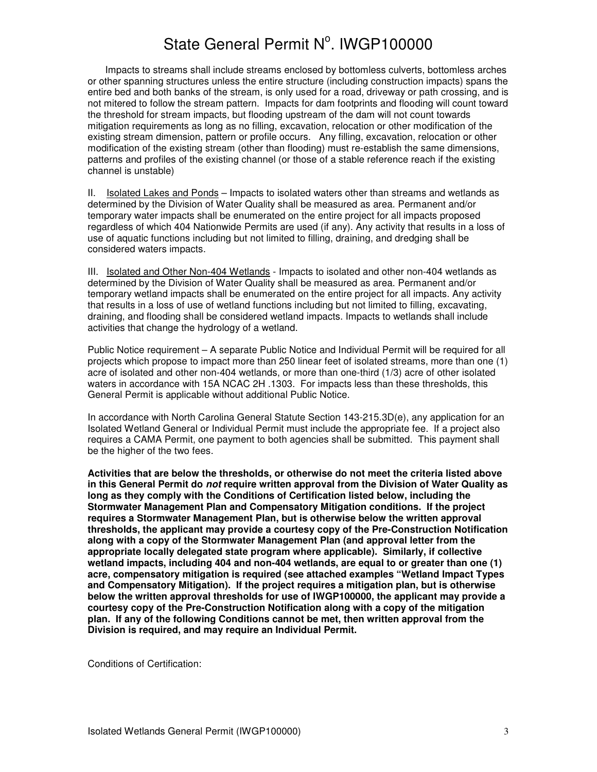Impacts to streams shall include streams enclosed by bottomless culverts, bottomless arches or other spanning structures unless the entire structure (including construction impacts) spans the entire bed and both banks of the stream, is only used for a road, driveway or path crossing, and is not mitered to follow the stream pattern. Impacts for dam footprints and flooding will count toward the threshold for stream impacts, but flooding upstream of the dam will not count towards mitigation requirements as long as no filling, excavation, relocation or other modification of the existing stream dimension, pattern or profile occurs. Any filling, excavation, relocation or other modification of the existing stream (other than flooding) must re-establish the same dimensions, patterns and profiles of the existing channel (or those of a stable reference reach if the existing channel is unstable)

II. Isolated Lakes and Ponds – Impacts to isolated waters other than streams and wetlands as determined by the Division of Water Quality shall be measured as area. Permanent and/or temporary water impacts shall be enumerated on the entire project for all impacts proposed regardless of which 404 Nationwide Permits are used (if any). Any activity that results in a loss of use of aquatic functions including but not limited to filling, draining, and dredging shall be considered waters impacts.

III. Isolated and Other Non-404 Wetlands - Impacts to isolated and other non-404 wetlands as determined by the Division of Water Quality shall be measured as area. Permanent and/or temporary wetland impacts shall be enumerated on the entire project for all impacts. Any activity that results in a loss of use of wetland functions including but not limited to filling, excavating, draining, and flooding shall be considered wetland impacts. Impacts to wetlands shall include activities that change the hydrology of a wetland.

Public Notice requirement – A separate Public Notice and Individual Permit will be required for all projects which propose to impact more than 250 linear feet of isolated streams, more than one (1) acre of isolated and other non-404 wetlands, or more than one-third (1/3) acre of other isolated waters in accordance with 15A NCAC 2H .1303. For impacts less than these thresholds, this General Permit is applicable without additional Public Notice.

In accordance with North Carolina General Statute Section 143-215.3D(e), any application for an Isolated Wetland General or Individual Permit must include the appropriate fee. If a project also requires a CAMA Permit, one payment to both agencies shall be submitted. This payment shall be the higher of the two fees.

**Activities that are below the thresholds, or otherwise do not meet the criteria listed above in this General Permit do not require written approval from the Division of Water Quality as long as they comply with the Conditions of Certification listed below, including the Stormwater Management Plan and Compensatory Mitigation conditions. If the project requires a Stormwater Management Plan, but is otherwise below the written approval thresholds, the applicant may provide a courtesy copy of the Pre-Construction Notification along with a copy of the Stormwater Management Plan (and approval letter from the appropriate locally delegated state program where applicable). Similarly, if collective wetland impacts, including 404 and non-404 wetlands, are equal to or greater than one (1) acre, compensatory mitigation is required (see attached examples "Wetland Impact Types and Compensatory Mitigation). If the project requires a mitigation plan, but is otherwise below the written approval thresholds for use of IWGP100000, the applicant may provide a courtesy copy of the Pre-Construction Notification along with a copy of the mitigation plan. If any of the following Conditions cannot be met, then written approval from the Division is required, and may require an Individual Permit.** 

Conditions of Certification: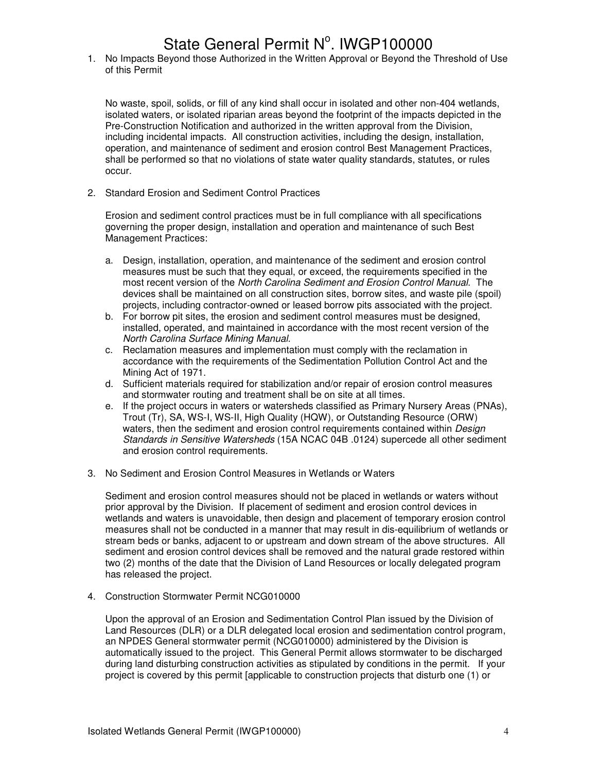1. No Impacts Beyond those Authorized in the Written Approval or Beyond the Threshold of Use of this Permit

No waste, spoil, solids, or fill of any kind shall occur in isolated and other non-404 wetlands, isolated waters, or isolated riparian areas beyond the footprint of the impacts depicted in the Pre-Construction Notification and authorized in the written approval from the Division, including incidental impacts. All construction activities, including the design, installation, operation, and maintenance of sediment and erosion control Best Management Practices, shall be performed so that no violations of state water quality standards, statutes, or rules occur.

2. Standard Erosion and Sediment Control Practices

Erosion and sediment control practices must be in full compliance with all specifications governing the proper design, installation and operation and maintenance of such Best Management Practices:

- a. Design, installation, operation, and maintenance of the sediment and erosion control measures must be such that they equal, or exceed, the requirements specified in the most recent version of the North Carolina Sediment and Erosion Control Manual. The devices shall be maintained on all construction sites, borrow sites, and waste pile (spoil) projects, including contractor-owned or leased borrow pits associated with the project.
- b. For borrow pit sites, the erosion and sediment control measures must be designed, installed, operated, and maintained in accordance with the most recent version of the North Carolina Surface Mining Manual.
- c. Reclamation measures and implementation must comply with the reclamation in accordance with the requirements of the Sedimentation Pollution Control Act and the Mining Act of 1971.
- d. Sufficient materials required for stabilization and/or repair of erosion control measures and stormwater routing and treatment shall be on site at all times.
- e. If the project occurs in waters or watersheds classified as Primary Nursery Areas (PNAs), Trout (Tr), SA, WS-I, WS-II, High Quality (HQW), or Outstanding Resource (ORW) waters, then the sediment and erosion control requirements contained within Design Standards in Sensitive Watersheds (15A NCAC 04B .0124) supercede all other sediment and erosion control requirements.
- 3. No Sediment and Erosion Control Measures in Wetlands or Waters

Sediment and erosion control measures should not be placed in wetlands or waters without prior approval by the Division. If placement of sediment and erosion control devices in wetlands and waters is unavoidable, then design and placement of temporary erosion control measures shall not be conducted in a manner that may result in dis-equilibrium of wetlands or stream beds or banks, adjacent to or upstream and down stream of the above structures. All sediment and erosion control devices shall be removed and the natural grade restored within two (2) months of the date that the Division of Land Resources or locally delegated program has released the project.

4. Construction Stormwater Permit NCG010000

 Upon the approval of an Erosion and Sedimentation Control Plan issued by the Division of Land Resources (DLR) or a DLR delegated local erosion and sedimentation control program, an NPDES General stormwater permit (NCG010000) administered by the Division is automatically issued to the project. This General Permit allows stormwater to be discharged during land disturbing construction activities as stipulated by conditions in the permit. If your project is covered by this permit [applicable to construction projects that disturb one (1) or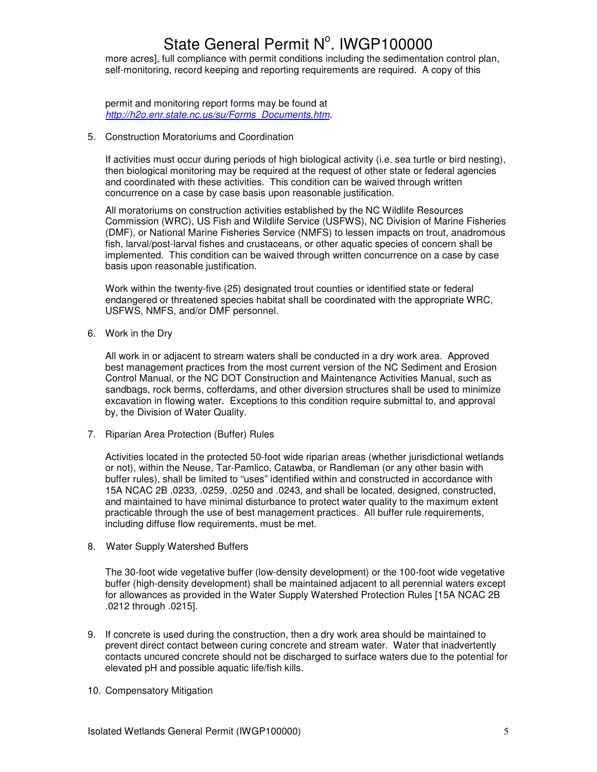more acres], full compliance with permit conditions including the sedimentation control plan, self-monitoring, record keeping and reporting requirements are required. A copy of this

 permit and monitoring report forms may be found at http://h2o.enr.state.nc.us/su/Forms\_Documents.htm.

5. Construction Moratoriums and Coordination

If activities must occur during periods of high biological activity (i.e. sea turtle or bird nesting), then biological monitoring may be required at the request of other state or federal agencies and coordinated with these activities. This condition can be waived through written concurrence on a case by case basis upon reasonable justification.

All moratoriums on construction activities established by the NC Wildlife Resources Commission (WRC), US Fish and Wildlife Service (USFWS), NC Division of Marine Fisheries (DMF), or National Marine Fisheries Service (NMFS) to lessen impacts on trout, anadromous fish, larval/post-larval fishes and crustaceans, or other aquatic species of concern shall be implemented. This condition can be waived through written concurrence on a case by case basis upon reasonable justification.

Work within the twenty-five (25) designated trout counties or identified state or federal endangered or threatened species habitat shall be coordinated with the appropriate WRC, USFWS, NMFS, and/or DMF personnel.

6. Work in the Dry

 All work in or adjacent to stream waters shall be conducted in a dry work area. Approved best management practices from the most current version of the NC Sediment and Erosion Control Manual, or the NC DOT Construction and Maintenance Activities Manual, such as sandbags, rock berms, cofferdams, and other diversion structures shall be used to minimize excavation in flowing water. Exceptions to this condition require submittal to, and approval by, the Division of Water Quality.

7. Riparian Area Protection (Buffer) Rules

Activities located in the protected 50-foot wide riparian areas (whether jurisdictional wetlands or not), within the Neuse, Tar-Pamlico, Catawba, or Randleman (or any other basin with buffer rules), shall be limited to "uses" identified within and constructed in accordance with 15A NCAC 2B .0233, .0259, .0250 and .0243, and shall be located, designed, constructed, and maintained to have minimal disturbance to protect water quality to the maximum extent practicable through the use of best management practices. All buffer rule requirements, including diffuse flow requirements, must be met.

8. Water Supply Watershed Buffers

The 30-foot wide vegetative buffer (low-density development) or the 100-foot wide vegetative buffer (high-density development) shall be maintained adjacent to all perennial waters except for allowances as provided in the Water Supply Watershed Protection Rules [15A NCAC 2B .0212 through .0215].

- 9. If concrete is used during the construction, then a dry work area should be maintained to prevent direct contact between curing concrete and stream water. Water that inadvertently contacts uncured concrete should not be discharged to surface waters due to the potential for elevated pH and possible aquatic life/fish kills.
- 10. Compensatory Mitigation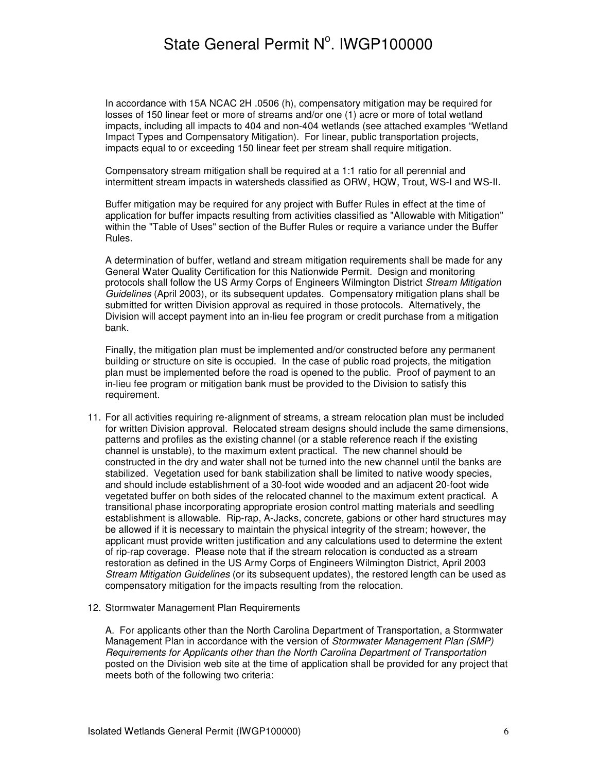In accordance with 15A NCAC 2H .0506 (h), compensatory mitigation may be required for losses of 150 linear feet or more of streams and/or one (1) acre or more of total wetland impacts, including all impacts to 404 and non-404 wetlands (see attached examples "Wetland Impact Types and Compensatory Mitigation). For linear, public transportation projects, impacts equal to or exceeding 150 linear feet per stream shall require mitigation.

Compensatory stream mitigation shall be required at a 1:1 ratio for all perennial and intermittent stream impacts in watersheds classified as ORW, HQW, Trout, WS-I and WS-II.

Buffer mitigation may be required for any project with Buffer Rules in effect at the time of application for buffer impacts resulting from activities classified as "Allowable with Mitigation" within the "Table of Uses" section of the Buffer Rules or require a variance under the Buffer Rules.

A determination of buffer, wetland and stream mitigation requirements shall be made for any General Water Quality Certification for this Nationwide Permit. Design and monitoring protocols shall follow the US Army Corps of Engineers Wilmington District Stream Mitigation Guidelines (April 2003), or its subsequent updates. Compensatory mitigation plans shall be submitted for written Division approval as required in those protocols. Alternatively, the Division will accept payment into an in-lieu fee program or credit purchase from a mitigation bank.

Finally, the mitigation plan must be implemented and/or constructed before any permanent building or structure on site is occupied. In the case of public road projects, the mitigation plan must be implemented before the road is opened to the public. Proof of payment to an in-lieu fee program or mitigation bank must be provided to the Division to satisfy this requirement.

- 11. For all activities requiring re-alignment of streams, a stream relocation plan must be included for written Division approval. Relocated stream designs should include the same dimensions, patterns and profiles as the existing channel (or a stable reference reach if the existing channel is unstable), to the maximum extent practical. The new channel should be constructed in the dry and water shall not be turned into the new channel until the banks are stabilized. Vegetation used for bank stabilization shall be limited to native woody species, and should include establishment of a 30-foot wide wooded and an adjacent 20-foot wide vegetated buffer on both sides of the relocated channel to the maximum extent practical. A transitional phase incorporating appropriate erosion control matting materials and seedling establishment is allowable. Rip-rap, A-Jacks, concrete, gabions or other hard structures may be allowed if it is necessary to maintain the physical integrity of the stream; however, the applicant must provide written justification and any calculations used to determine the extent of rip-rap coverage. Please note that if the stream relocation is conducted as a stream restoration as defined in the US Army Corps of Engineers Wilmington District, April 2003 Stream Mitigation Guidelines (or its subsequent updates), the restored length can be used as compensatory mitigation for the impacts resulting from the relocation.
- 12. Stormwater Management Plan Requirements

A. For applicants other than the North Carolina Department of Transportation, a Stormwater Management Plan in accordance with the version of Stormwater Management Plan (SMP) Requirements for Applicants other than the North Carolina Department of Transportation posted on the Division web site at the time of application shall be provided for any project that meets both of the following two criteria: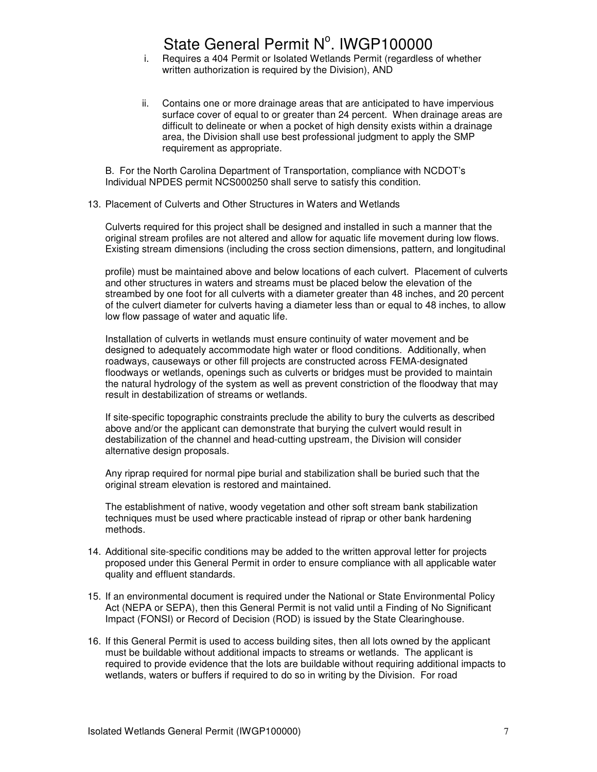- i. Requires a 404 Permit or Isolated Wetlands Permit (regardless of whether written authorization is required by the Division), AND
- ii. Contains one or more drainage areas that are anticipated to have impervious surface cover of equal to or greater than 24 percent. When drainage areas are difficult to delineate or when a pocket of high density exists within a drainage area, the Division shall use best professional judgment to apply the SMP requirement as appropriate.

B. For the North Carolina Department of Transportation, compliance with NCDOT's Individual NPDES permit NCS000250 shall serve to satisfy this condition.

#### 13. Placement of Culverts and Other Structures in Waters and Wetlands

Culverts required for this project shall be designed and installed in such a manner that the original stream profiles are not altered and allow for aquatic life movement during low flows. Existing stream dimensions (including the cross section dimensions, pattern, and longitudinal

profile) must be maintained above and below locations of each culvert. Placement of culverts and other structures in waters and streams must be placed below the elevation of the streambed by one foot for all culverts with a diameter greater than 48 inches, and 20 percent of the culvert diameter for culverts having a diameter less than or equal to 48 inches, to allow low flow passage of water and aquatic life.

Installation of culverts in wetlands must ensure continuity of water movement and be designed to adequately accommodate high water or flood conditions. Additionally, when roadways, causeways or other fill projects are constructed across FEMA-designated floodways or wetlands, openings such as culverts or bridges must be provided to maintain the natural hydrology of the system as well as prevent constriction of the floodway that may result in destabilization of streams or wetlands.

If site-specific topographic constraints preclude the ability to bury the culverts as described above and/or the applicant can demonstrate that burying the culvert would result in destabilization of the channel and head-cutting upstream, the Division will consider alternative design proposals.

Any riprap required for normal pipe burial and stabilization shall be buried such that the original stream elevation is restored and maintained.

The establishment of native, woody vegetation and other soft stream bank stabilization techniques must be used where practicable instead of riprap or other bank hardening methods.

- 14. Additional site-specific conditions may be added to the written approval letter for projects proposed under this General Permit in order to ensure compliance with all applicable water quality and effluent standards.
- 15. If an environmental document is required under the National or State Environmental Policy Act (NEPA or SEPA), then this General Permit is not valid until a Finding of No Significant Impact (FONSI) or Record of Decision (ROD) is issued by the State Clearinghouse.
- 16. If this General Permit is used to access building sites, then all lots owned by the applicant must be buildable without additional impacts to streams or wetlands. The applicant is required to provide evidence that the lots are buildable without requiring additional impacts to wetlands, waters or buffers if required to do so in writing by the Division. For road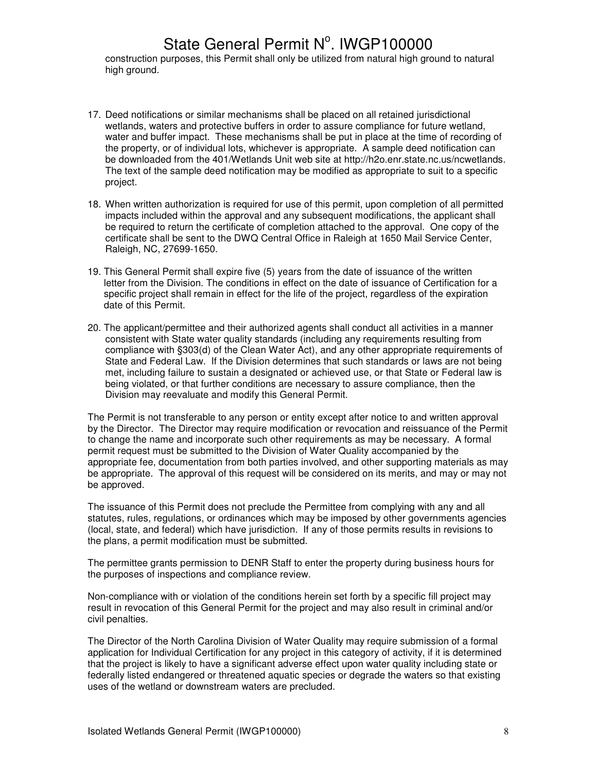construction purposes, this Permit shall only be utilized from natural high ground to natural high ground.

- 17. Deed notifications or similar mechanisms shall be placed on all retained jurisdictional wetlands, waters and protective buffers in order to assure compliance for future wetland, water and buffer impact. These mechanisms shall be put in place at the time of recording of the property, or of individual lots, whichever is appropriate. A sample deed notification can be downloaded from the 401/Wetlands Unit web site at http://h2o.enr.state.nc.us/ncwetlands. The text of the sample deed notification may be modified as appropriate to suit to a specific project.
- 18. When written authorization is required for use of this permit, upon completion of all permitted impacts included within the approval and any subsequent modifications, the applicant shall be required to return the certificate of completion attached to the approval. One copy of the certificate shall be sent to the DWQ Central Office in Raleigh at 1650 Mail Service Center, Raleigh, NC, 27699-1650.
- 19. This General Permit shall expire five (5) years from the date of issuance of the written letter from the Division. The conditions in effect on the date of issuance of Certification for a specific project shall remain in effect for the life of the project, regardless of the expiration date of this Permit.
- 20. The applicant/permittee and their authorized agents shall conduct all activities in a manner consistent with State water quality standards (including any requirements resulting from compliance with §303(d) of the Clean Water Act), and any other appropriate requirements of State and Federal Law. If the Division determines that such standards or laws are not being met, including failure to sustain a designated or achieved use, or that State or Federal law is being violated, or that further conditions are necessary to assure compliance, then the Division may reevaluate and modify this General Permit.

The Permit is not transferable to any person or entity except after notice to and written approval by the Director. The Director may require modification or revocation and reissuance of the Permit to change the name and incorporate such other requirements as may be necessary. A formal permit request must be submitted to the Division of Water Quality accompanied by the appropriate fee, documentation from both parties involved, and other supporting materials as may be appropriate. The approval of this request will be considered on its merits, and may or may not be approved.

The issuance of this Permit does not preclude the Permittee from complying with any and all statutes, rules, regulations, or ordinances which may be imposed by other governments agencies (local, state, and federal) which have jurisdiction. If any of those permits results in revisions to the plans, a permit modification must be submitted.

The permittee grants permission to DENR Staff to enter the property during business hours for the purposes of inspections and compliance review.

Non-compliance with or violation of the conditions herein set forth by a specific fill project may result in revocation of this General Permit for the project and may also result in criminal and/or civil penalties.

The Director of the North Carolina Division of Water Quality may require submission of a formal application for Individual Certification for any project in this category of activity, if it is determined that the project is likely to have a significant adverse effect upon water quality including state or federally listed endangered or threatened aquatic species or degrade the waters so that existing uses of the wetland or downstream waters are precluded.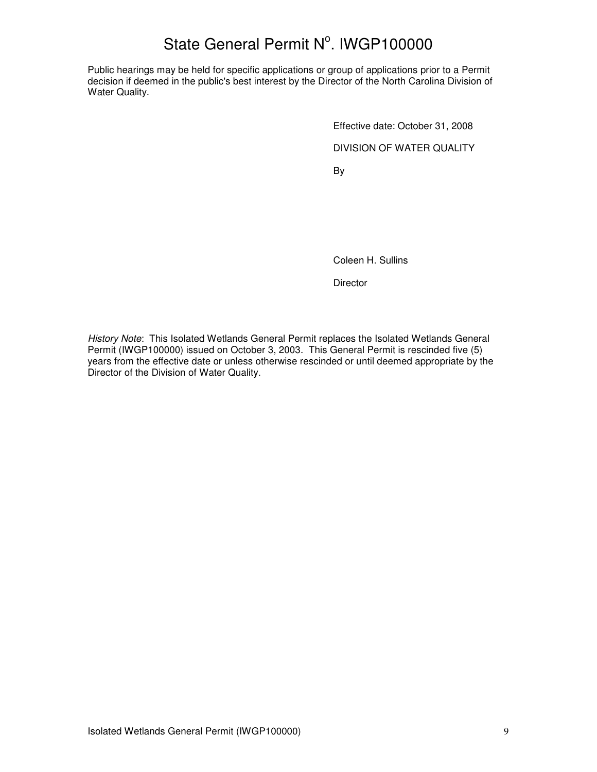Public hearings may be held for specific applications or group of applications prior to a Permit decision if deemed in the public's best interest by the Director of the North Carolina Division of Water Quality.

> Effective date: October 31, 2008 DIVISION OF WATER QUALITY

and the state of the Bystem of the Bystem of the Bystem of the Bystem of the Bystem of the Bystem of the Bystem of the Bystem of the Bystem of the Bystem of the Bystem of the Bystem of the Bystem of the Bystem of the Byste

Coleen H. Sullins

**Director** 

History Note: This Isolated Wetlands General Permit replaces the Isolated Wetlands General Permit (IWGP100000) issued on October 3, 2003. This General Permit is rescinded five (5) years from the effective date or unless otherwise rescinded or until deemed appropriate by the Director of the Division of Water Quality.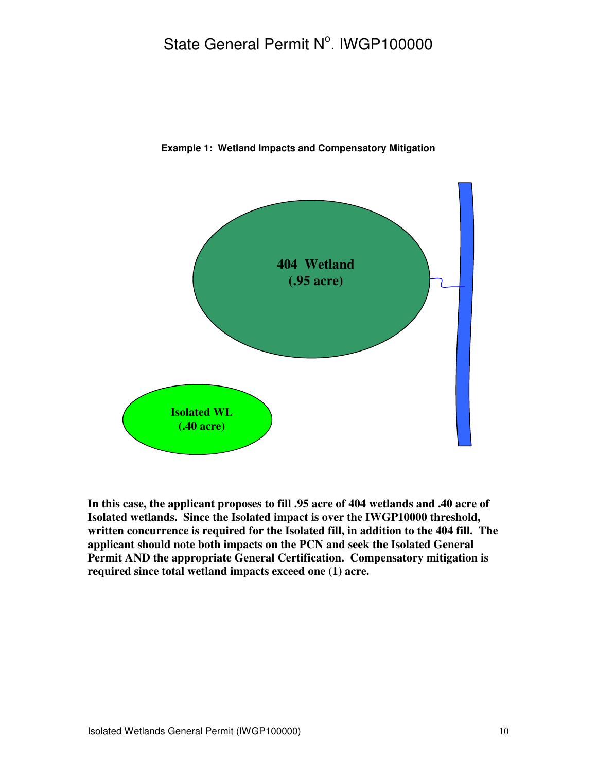

**Example 1: Wetland Impacts and Compensatory Mitigation** 

**In this case, the applicant proposes to fill .95 acre of 404 wetlands and .40 acre of Isolated wetlands. Since the Isolated impact is over the IWGP10000 threshold, written concurrence is required for the Isolated fill, in addition to the 404 fill. The applicant should note both impacts on the PCN and seek the Isolated General Permit AND the appropriate General Certification. Compensatory mitigation is required since total wetland impacts exceed one (1) acre.**